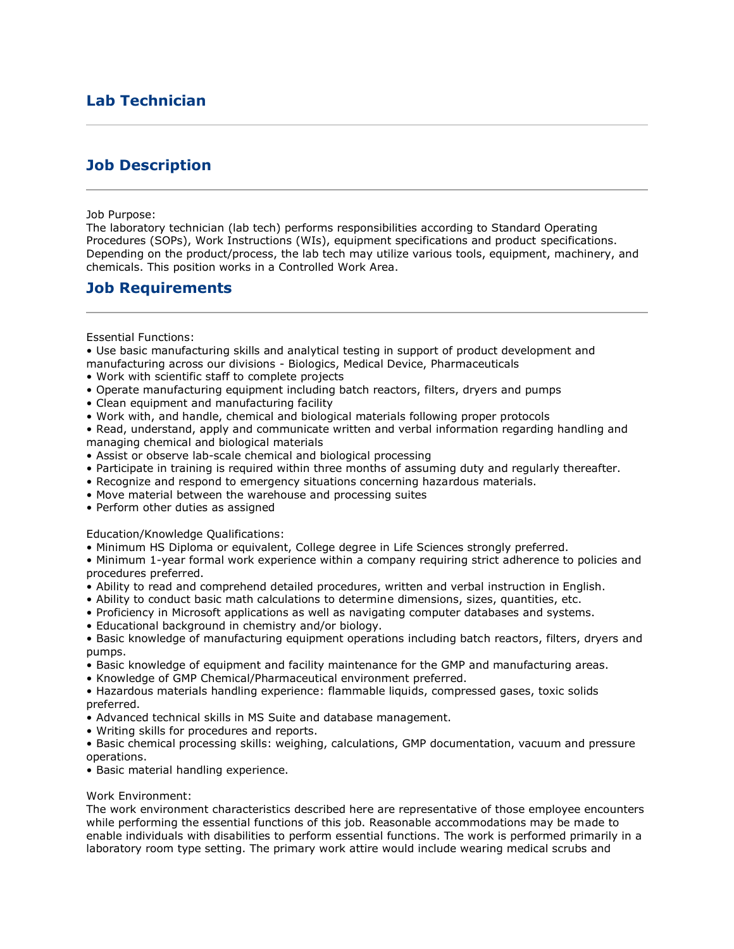# **Lab Technician**

## **Job Description**

### Job Purpose:

The laboratory technician (lab tech) performs responsibilities according to Standard Operating Procedures (SOPs), Work Instructions (WIs), equipment specifications and product specifications. Depending on the product/process, the lab tech may utilize various tools, equipment, machinery, and chemicals. This position works in a Controlled Work Area.

### **Job Requirements**

### Essential Functions:

• Use basic manufacturing skills and analytical testing in support of product development and manufacturing across our divisions - Biologics, Medical Device, Pharmaceuticals

- Work with scientific staff to complete projects
- Operate manufacturing equipment including batch reactors, filters, dryers and pumps
- Clean equipment and manufacturing facility
- Work with, and handle, chemical and biological materials following proper protocols
- Read, understand, apply and communicate written and verbal information regarding handling and managing chemical and biological materials
- Assist or observe lab-scale chemical and biological processing
- Participate in training is required within three months of assuming duty and regularly thereafter.
- Recognize and respond to emergency situations concerning hazardous materials.
- Move material between the warehouse and processing suites
- Perform other duties as assigned

Education/Knowledge Qualifications:

• Minimum HS Diploma or equivalent, College degree in Life Sciences strongly preferred.

• Minimum 1-year formal work experience within a company requiring strict adherence to policies and procedures preferred.

- Ability to read and comprehend detailed procedures, written and verbal instruction in English.
- Ability to conduct basic math calculations to determine dimensions, sizes, quantities, etc.
- Proficiency in Microsoft applications as well as navigating computer databases and systems.
- Educational background in chemistry and/or biology.

• Basic knowledge of manufacturing equipment operations including batch reactors, filters, dryers and pumps.

- Basic knowledge of equipment and facility maintenance for the GMP and manufacturing areas.
- Knowledge of GMP Chemical/Pharmaceutical environment preferred.
- Hazardous materials handling experience: flammable liquids, compressed gases, toxic solids preferred.
- Advanced technical skills in MS Suite and database management.
- Writing skills for procedures and reports.

• Basic chemical processing skills: weighing, calculations, GMP documentation, vacuum and pressure operations.

• Basic material handling experience.

### Work Environment:

The work environment characteristics described here are representative of those employee encounters while performing the essential functions of this job. Reasonable accommodations may be made to enable individuals with disabilities to perform essential functions. The work is performed primarily in a laboratory room type setting. The primary work attire would include wearing medical scrubs and